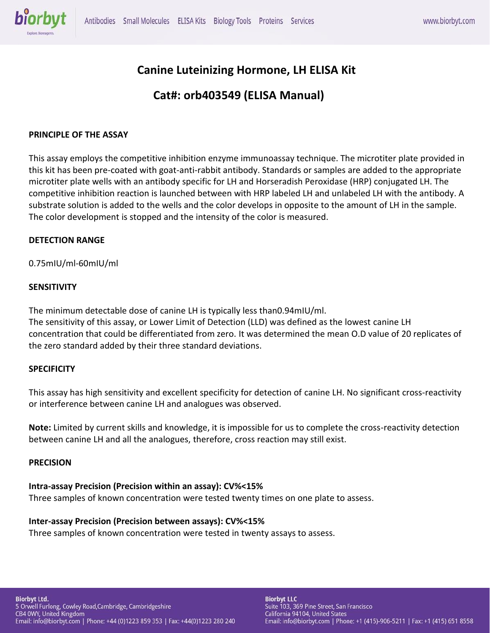

# **Canine Luteinizing Hormone, LH ELISA Kit**

# **Cat#: orb403549 (ELISA Manual)**

### **PRINCIPLE OF THE ASSAY**

This assay employs the competitive inhibition enzyme immunoassay technique. The microtiter plate provided in this kit has been pre-coated with goat-anti-rabbit antibody. Standards or samples are added to the appropriate microtiter plate wells with an antibody specific for LH and Horseradish Peroxidase (HRP) conjugated LH. The competitive inhibition reaction is launched between with HRP labeled LH and unlabeled LH with the antibody. A substrate solution is added to the wells and the color develops in opposite to the amount of LH in the sample. The color development is stopped and the intensity of the color is measured.

#### **DETECTION RANGE**

0.75mIU/ml-60mIU/ml

#### **SENSITIVITY**

The minimum detectable dose of canine LH is typically less than0.94mIU/ml. The sensitivity of this assay, or Lower Limit of Detection (LLD) was defined as the lowest canine LH concentration that could be differentiated from zero. It was determined the mean O.D value of 20 replicates of the zero standard added by their three standard deviations.

### **SPECIFICITY**

This assay has high sensitivity and excellent specificity for detection of canine LH. No significant cross-reactivity or interference between canine LH and analogues was observed.

**Note:** Limited by current skills and knowledge, it is impossible for us to complete the cross-reactivity detection between canine LH and all the analogues, therefore, cross reaction may still exist.

#### **PRECISION**

### **Intra-assay Precision (Precision within an assay): CV%<15%**

Three samples of known concentration were tested twenty times on one plate to assess.

#### **Inter-assay Precision (Precision between assays): CV%<15%**

Three samples of known concentration were tested in twenty assays to assess.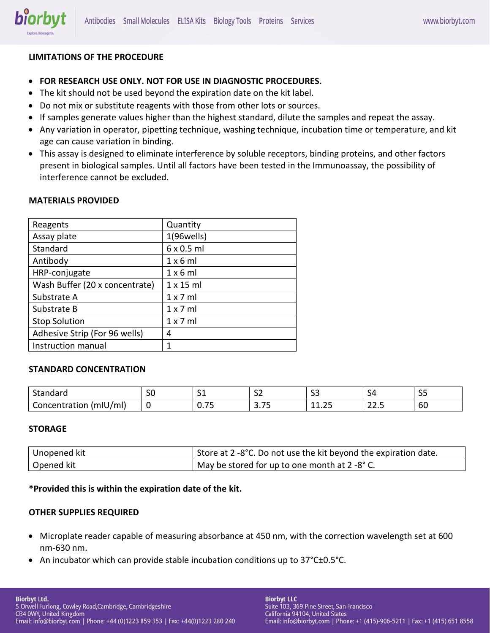

## **LIMITATIONS OF THE PROCEDURE**

- **FOR RESEARCH USE ONLY. NOT FOR USE IN DIAGNOSTIC PROCEDURES.**
- The kit should not be used beyond the expiration date on the kit label.
- Do not mix or substitute reagents with those from other lots or sources.
- If samples generate values higher than the highest standard, dilute the samples and repeat the assay.
- Any variation in operator, pipetting technique, washing technique, incubation time or temperature, and kit age can cause variation in binding.
- This assay is designed to eliminate interference by soluble receptors, binding proteins, and other factors present in biological samples. Until all factors have been tested in the Immunoassay, the possibility of interference cannot be excluded.

### **MATERIALS PROVIDED**

| Reagents                       | Quantity          |
|--------------------------------|-------------------|
| Assay plate                    | $1(96$ wells)     |
| Standard                       | $6 \times 0.5$ ml |
| Antibody                       | 1x6ml             |
| HRP-conjugate                  | $1 \times 6$ ml   |
| Wash Buffer (20 x concentrate) | $1 \times 15$ ml  |
| Substrate A                    | $1 \times 7$ ml   |
| Substrate B                    | $1 \times 7$ ml   |
| <b>Stop Solution</b>           | $1 \times 7$ ml   |
| Adhesive Strip (For 96 wells)  | 4                 |
| Instruction manual             | 1                 |

## **STANDARD CONCENTRATION**

| <u>.</u><br>---<br>iuai u                        | - -<br>υc | $\sim$<br>◡          | $\sim$<br>- - - | $\sim$<br>--   | ∼<br>ັ                | $\sim$ $\sim$<br>ັ |
|--------------------------------------------------|-----------|----------------------|-----------------|----------------|-----------------------|--------------------|
| - -<br>1/mL<br>itration<br>anno<br>$\sim$<br>. . |           | --<br>. . <i>.</i> J | --<br><u>.</u>  | $\sim$<br>---- | $\sim$<br>. .<br>---- | $\sim$<br>σU       |

#### **STORAGE**

| Unopened kit | Store at 2 -8°C. Do not use the kit beyond the expiration date. |
|--------------|-----------------------------------------------------------------|
| Opened kit   | May be stored for up to one month at 2 -8° C.                   |

### **\*Provided this is within the expiration date of the kit.**

### **OTHER SUPPLIES REQUIRED**

- Microplate reader capable of measuring absorbance at 450 nm, with the correction wavelength set at 600 nm-630 nm.
- An incubator which can provide stable incubation conditions up to 37°C±0.5°C.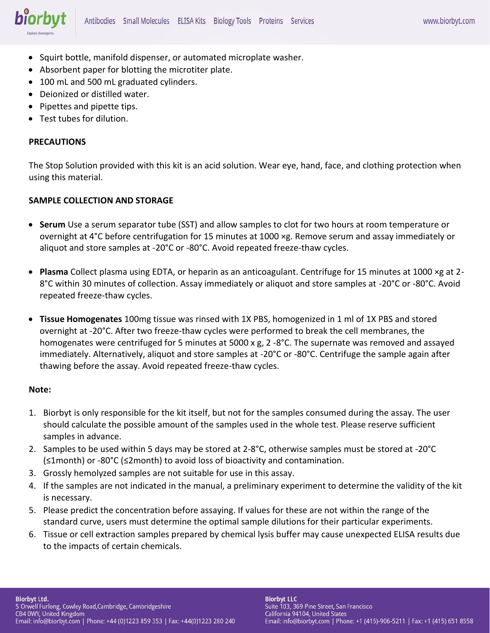

- Squirt bottle, manifold dispenser, or automated microplate washer.
- Absorbent paper for blotting the microtiter plate.
- 100 mL and 500 mL graduated cylinders.
- Deionized or distilled water.
- Pipettes and pipette tips.
- Test tubes for dilution.

#### **PRECAUTIONS**

The Stop Solution provided with this kit is an acid solution. Wear eye, hand, face, and clothing protection when using this material.

### **SAMPLE COLLECTION AND STORAGE**

- **Serum** Use a serum separator tube (SST) and allow samples to clot for two hours at room temperature or overnight at 4°C before centrifugation for 15 minutes at 1000 ×g. Remove serum and assay immediately or aliquot and store samples at -20°C or -80°C. Avoid repeated freeze-thaw cycles.
- **Plasma** Collect plasma using EDTA, or heparin as an anticoagulant. Centrifuge for 15 minutes at 1000 ×g at 2- 8°C within 30 minutes of collection. Assay immediately or aliquot and store samples at -20°C or -80°C. Avoid repeated freeze-thaw cycles.
- **Tissue Homogenates** 100mg tissue was rinsed with 1X PBS, homogenized in 1 ml of 1X PBS and stored overnight at -20°C. After two freeze-thaw cycles were performed to break the cell membranes, the homogenates were centrifuged for 5 minutes at 5000 x g, 2 -8°C. The supernate was removed and assayed immediately. Alternatively, aliquot and store samples at -20°C or -80°C. Centrifuge the sample again after thawing before the assay. Avoid repeated freeze-thaw cycles.

#### **Note:**

- 1. Biorbyt is only responsible for the kit itself, but not for the samples consumed during the assay. The user should calculate the possible amount of the samples used in the whole test. Please reserve sufficient samples in advance.
- 2. Samples to be used within 5 days may be stored at 2-8°C, otherwise samples must be stored at -20°C (≤1month) or -80°C (≤2month) to avoid loss of bioactivity and contamination.
- 3. Grossly hemolyzed samples are not suitable for use in this assay.
- 4. If the samples are not indicated in the manual, a preliminary experiment to determine the validity of the kit is necessary.
- 5. Please predict the concentration before assaying. If values for these are not within the range of the standard curve, users must determine the optimal sample dilutions for their particular experiments.
- 6. Tissue or cell extraction samples prepared by chemical lysis buffer may cause unexpected ELISA results due to the impacts of certain chemicals.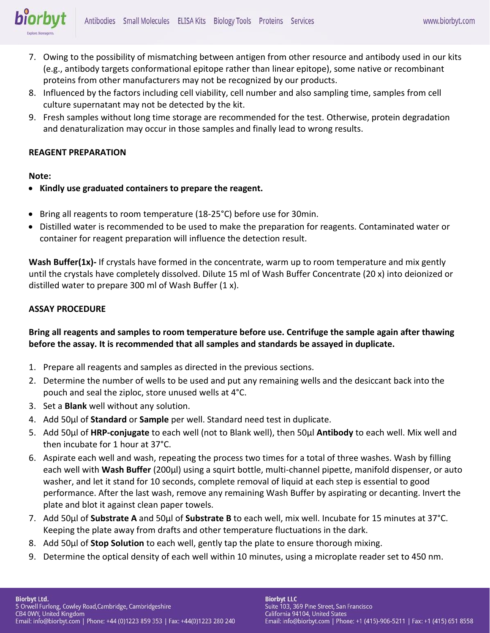

- 7. Owing to the possibility of mismatching between antigen from other resource and antibody used in our kits (e.g., antibody targets conformational epitope rather than linear epitope), some native or recombinant proteins from other manufacturers may not be recognized by our products.
- 8. Influenced by the factors including cell viability, cell number and also sampling time, samples from cell culture supernatant may not be detected by the kit.
- 9. Fresh samples without long time storage are recommended for the test. Otherwise, protein degradation and denaturalization may occur in those samples and finally lead to wrong results.

### **REAGENT PREPARATION**

### **Note:**

- **Kindly use graduated containers to prepare the reagent.**
- Bring all reagents to room temperature (18-25°C) before use for 30min.
- Distilled water is recommended to be used to make the preparation for reagents. Contaminated water or container for reagent preparation will influence the detection result.

**Wash Buffer(1x)-** If crystals have formed in the concentrate, warm up to room temperature and mix gently until the crystals have completely dissolved. Dilute 15 ml of Wash Buffer Concentrate (20 x) into deionized or distilled water to prepare 300 ml of Wash Buffer (1 x).

## **ASSAY PROCEDURE**

# **Bring all reagents and samples to room temperature before use. Centrifuge the sample again after thawing before the assay. It is recommended that all samples and standards be assayed in duplicate.**

- 1. Prepare all reagents and samples as directed in the previous sections.
- 2. Determine the number of wells to be used and put any remaining wells and the desiccant back into the pouch and seal the ziploc, store unused wells at 4°C.
- 3. Set a **Blank** well without any solution.
- 4. Add 50μl of **Standard** or **Sample** per well. Standard need test in duplicate.
- 5. Add 50μl of **HRP-conjugate** to each well (not to Blank well), then 50μl **Antibody** to each well. Mix well and then incubate for 1 hour at 37°C.
- 6. Aspirate each well and wash, repeating the process two times for a total of three washes. Wash by filling each well with **Wash Buffer** (200μl) using a squirt bottle, multi-channel pipette, manifold dispenser, or auto washer, and let it stand for 10 seconds, complete removal of liquid at each step is essential to good performance. After the last wash, remove any remaining Wash Buffer by aspirating or decanting. Invert the plate and blot it against clean paper towels.
- 7. Add 50μl of **Substrate A** and 50μl of **Substrate B** to each well, mix well. Incubate for 15 minutes at 37°C. Keeping the plate away from drafts and other temperature fluctuations in the dark.
- 8. Add 50μl of **Stop Solution** to each well, gently tap the plate to ensure thorough mixing.
- 9. Determine the optical density of each well within 10 minutes, using a microplate reader set to 450 nm.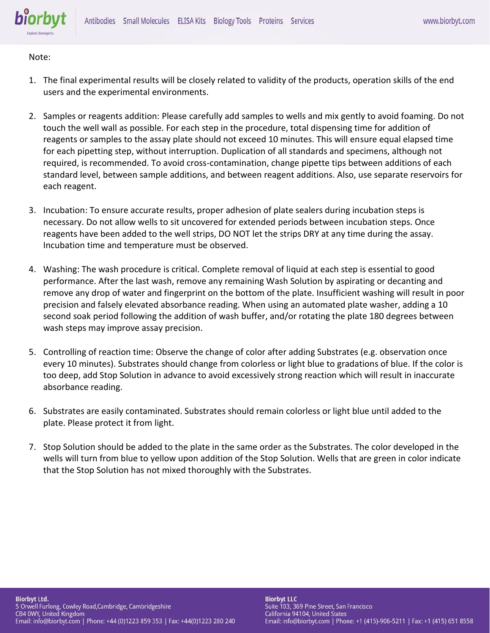

Note:

- 1. The final experimental results will be closely related to validity of the products, operation skills of the end users and the experimental environments.
- 2. Samples or reagents addition: Please carefully add samples to wells and mix gently to avoid foaming. Do not touch the well wall as possible. For each step in the procedure, total dispensing time for addition of reagents or samples to the assay plate should not exceed 10 minutes. This will ensure equal elapsed time for each pipetting step, without interruption. Duplication of all standards and specimens, although not required, is recommended. To avoid cross-contamination, change pipette tips between additions of each standard level, between sample additions, and between reagent additions. Also, use separate reservoirs for each reagent.
- 3. Incubation: To ensure accurate results, proper adhesion of plate sealers during incubation steps is necessary. Do not allow wells to sit uncovered for extended periods between incubation steps. Once reagents have been added to the well strips, DO NOT let the strips DRY at any time during the assay. Incubation time and temperature must be observed.
- 4. Washing: The wash procedure is critical. Complete removal of liquid at each step is essential to good performance. After the last wash, remove any remaining Wash Solution by aspirating or decanting and remove any drop of water and fingerprint on the bottom of the plate. Insufficient washing will result in poor precision and falsely elevated absorbance reading. When using an automated plate washer, adding a 10 second soak period following the addition of wash buffer, and/or rotating the plate 180 degrees between wash steps may improve assay precision.
- 5. Controlling of reaction time: Observe the change of color after adding Substrates (e.g. observation once every 10 minutes). Substrates should change from colorless or light blue to gradations of blue. If the color is too deep, add Stop Solution in advance to avoid excessively strong reaction which will result in inaccurate absorbance reading.
- 6. Substrates are easily contaminated. Substrates should remain colorless or light blue until added to the plate. Please protect it from light.
- 7. Stop Solution should be added to the plate in the same order as the Substrates. The color developed in the wells will turn from blue to yellow upon addition of the Stop Solution. Wells that are green in color indicate that the Stop Solution has not mixed thoroughly with the Substrates.